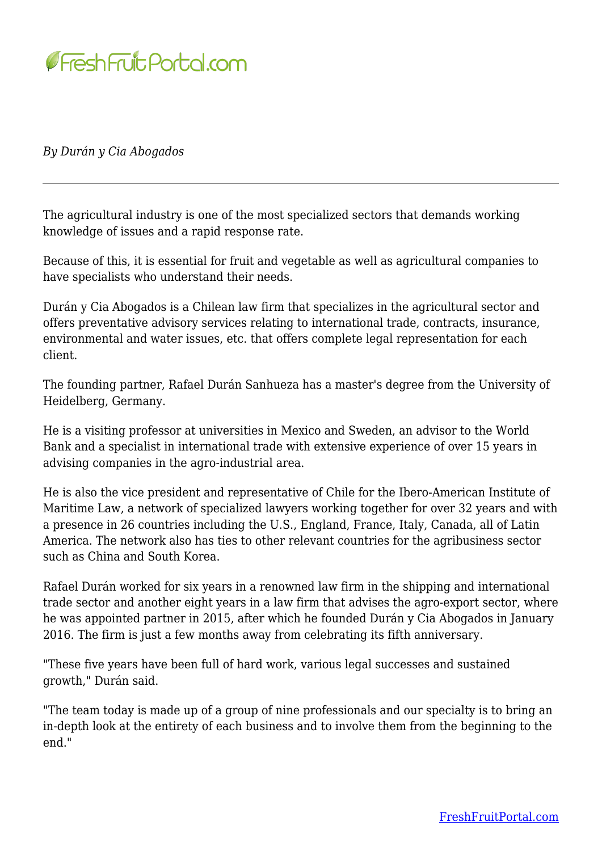

*By Durán y Cia Abogados*

The agricultural industry is one of the most specialized sectors that demands working knowledge of issues and a rapid response rate.

Because of this, it is essential for fruit and vegetable as well as agricultural companies to have specialists who understand their needs.

Durán y Cia Abogados is a Chilean law firm that specializes in the agricultural sector and offers preventative advisory services relating to international trade, contracts, insurance, environmental and water issues, etc. that offers complete legal representation for each client.

The founding partner, Rafael Durán Sanhueza has a master's degree from the University of Heidelberg, Germany.

He is a visiting professor at universities in Mexico and Sweden, an advisor to the World Bank and a specialist in international trade with extensive experience of over 15 years in advising companies in the agro-industrial area.

He is also the vice president and representative of Chile for the Ibero-American Institute of Maritime Law, a network of specialized lawyers working together for over 32 years and with a presence in 26 countries including the U.S., England, France, Italy, Canada, all of Latin America. The network also has ties to other relevant countries for the agribusiness sector such as China and South Korea.

Rafael Durán worked for six years in a renowned law firm in the shipping and international trade sector and another eight years in a law firm that advises the agro-export sector, where he was appointed partner in 2015, after which he founded Durán y Cia Abogados in January 2016. The firm is just a few months away from celebrating its fifth anniversary.

"These five years have been full of hard work, various legal successes and sustained growth," Durán said.

"The team today is made up of a group of nine professionals and our specialty is to bring an in-depth look at the entirety of each business and to involve them from the beginning to the end."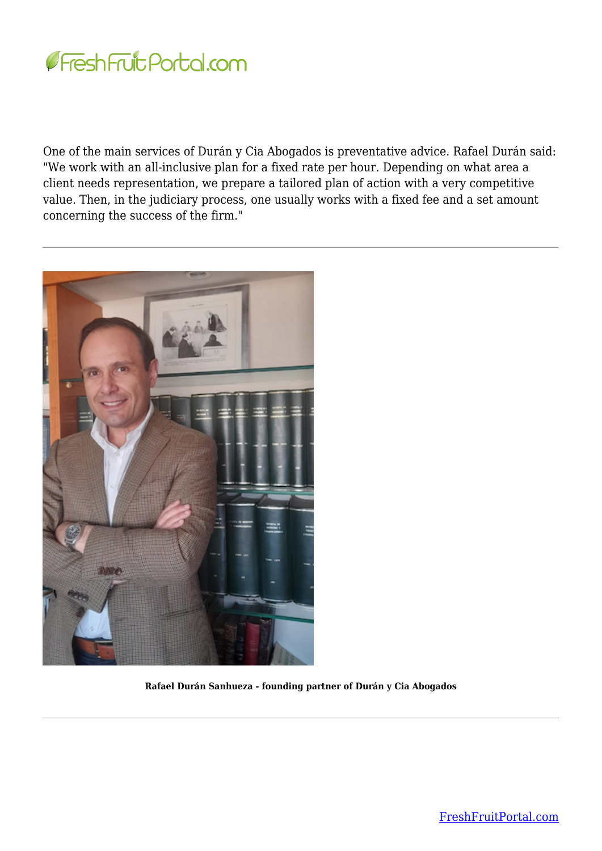

One of the main services of Durán y Cia Abogados is preventative advice. Rafael Durán said: "We work with an all-inclusive plan for a fixed rate per hour. Depending on what area a client needs representation, we prepare a tailored plan of action with a very competitive value. Then, in the judiciary process, one usually works with a fixed fee and a set amount concerning the success of the firm."



**Rafael Durán Sanhueza - founding partner of Durán y Cia Abogados**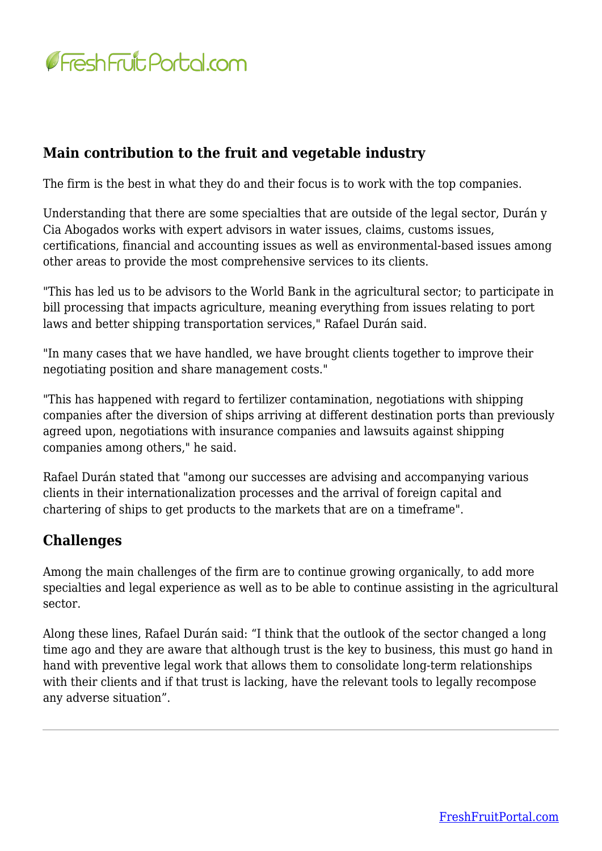

## **Main contribution to the fruit and vegetable industry**

The firm is the best in what they do and their focus is to work with the top companies.

Understanding that there are some specialties that are outside of the legal sector, Durán y Cia Abogados works with expert advisors in water issues, claims, customs issues, certifications, financial and accounting issues as well as environmental-based issues among other areas to provide the most comprehensive services to its clients.

"This has led us to be advisors to the World Bank in the agricultural sector; to participate in bill processing that impacts agriculture, meaning everything from issues relating to port laws and better shipping transportation services," Rafael Durán said.

"In many cases that we have handled, we have brought clients together to improve their negotiating position and share management costs."

"This has happened with regard to fertilizer contamination, negotiations with shipping companies after the diversion of ships arriving at different destination ports than previously agreed upon, negotiations with insurance companies and lawsuits against shipping companies among others," he said.

Rafael Durán stated that "among our successes are advising and accompanying various clients in their internationalization processes and the arrival of foreign capital and chartering of ships to get products to the markets that are on a timeframe".

## **Challenges**

Among the main challenges of the firm are to continue growing organically, to add more specialties and legal experience as well as to be able to continue assisting in the agricultural sector.

Along these lines, Rafael Durán said: "I think that the outlook of the sector changed a long time ago and they are aware that although trust is the key to business, this must go hand in hand with preventive legal work that allows them to consolidate long-term relationships with their clients and if that trust is lacking, have the relevant tools to legally recompose any adverse situation".